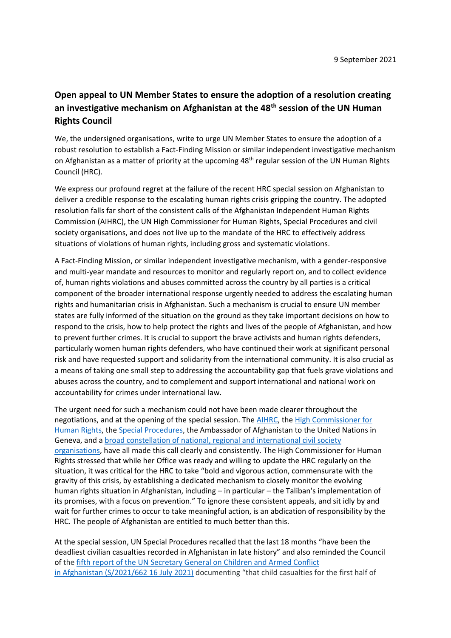## **Open appeal to UN Member States to ensure the adoption of a resolution creating an investigative mechanism on Afghanistan at the 48th session of the UN Human Rights Council**

We, the undersigned organisations, write to urge UN Member States to ensure the adoption of a robust resolution to establish a Fact-Finding Mission or similar independent investigative mechanism on Afghanistan as a matter of priority at the upcoming 48<sup>th</sup> regular session of the UN Human Rights Council (HRC).

We express our profound regret at the failure of the recent HRC special session on Afghanistan to deliver a credible response to the escalating human rights crisis gripping the country. The adopted resolution falls far short of the consistent calls of the Afghanistan Independent Human Rights Commission (AIHRC), the UN High Commissioner for Human Rights, Special Procedures and civil society organisations, and does not live up to the mandate of the HRC to effectively address situations of violations of human rights, including gross and systematic violations.

A Fact-Finding Mission, or similar independent investigative mechanism, with a gender-responsive and multi-year mandate and resources to monitor and regularly report on, and to collect evidence of, human rights violations and abuses committed across the country by all parties is a critical component of the broader international response urgently needed to address the escalating human rights and humanitarian crisis in Afghanistan. Such a mechanism is crucial to ensure UN member states are fully informed of the situation on the ground as they take important decisions on how to respond to the crisis, how to help protect the rights and lives of the people of Afghanistan, and how to prevent further crimes. It is crucial to support the brave activists and human rights defenders, particularly women human rights defenders, who have continued their work at significant personal risk and have requested support and solidarity from the international community. It is also crucial as a means of taking one small step to addressing the accountability gap that fuels grave violations and abuses across the country, and to complement and support international and national work on accountability for crimes under international law.

The urgent need for such a mechanism could not have been made clearer throughout the negotiations, and at the opening of the special session. The [AIHRC,](https://hrcmeetings.ohchr.org/HRCSessions/HRCDocuments/46/OTH/OTH_1867_76_cbf37ad7_0b20_4b44_851d_5c8cfea4960b.docx) the [High Commissioner for](https://www.ohchr.org/EN/NewsEvents/Pages/DisplayNews.aspx?NewsID=27403&LangID=E)  [Human Rights,](https://www.ohchr.org/EN/NewsEvents/Pages/DisplayNews.aspx?NewsID=27403&LangID=E) the [Special Procedures,](https://hrcmeetings.ohchr.org/HRCSessions/HRCDocuments/46/OTH/OTH_1866_76_ae75d861_f805_473e_9026_83c804ecf457.docx) the Ambassador of Afghanistan to the United Nations in Geneva, and a [broad constellation of national, regional and international civil society](https://www.hrw.org/news/2021/07/02/joint-open-letter-high-commissioner-human-rights)  [organisations,](https://www.hrw.org/news/2021/07/02/joint-open-letter-high-commissioner-human-rights) have all made this call clearly and consistently. The High Commissioner for Human Rights stressed that while her Office was ready and willing to update the HRC regularly on the situation, it was critical for the HRC to take "bold and vigorous action, commensurate with the gravity of this crisis, by establishing a dedicated mechanism to closely monitor the evolving human rights situation in Afghanistan, including – in particular – the Taliban's implementation of its promises, with a focus on prevention." To ignore these consistent appeals, and sit idly by and wait for further crimes to occur to take meaningful action, is an abdication of responsibility by the HRC. The people of Afghanistan are entitled to much better than this.

At the special session, UN Special Procedures recalled that the last 18 months "have been the deadliest civilian casualties recorded in Afghanistan in late history" and also reminded the Council of the [fifth report of the UN Secretary General on Children and Armed Conflict](https://childrenandarmedconflict.un.org/2021/08/138737/)  in Afghanistan [\(S/2021/662 16 July 2021\)](https://childrenandarmedconflict.un.org/2021/08/138737/) documenting "that child casualties for the first half of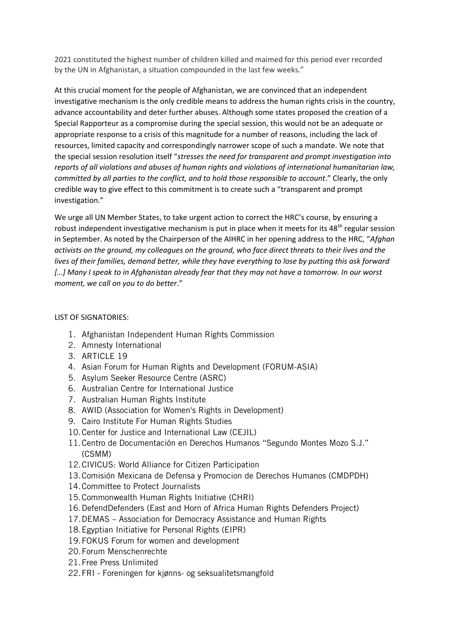2021 constituted the highest number of children killed and maimed for this period ever recorded by the UN in Afghanistan, a situation compounded in the last few weeks."

At this crucial moment for the people of Afghanistan, we are convinced that an independent investigative mechanism is the only credible means to address the human rights crisis in the country, advance accountability and deter further abuses. Although some states proposed the creation of a Special Rapporteur as a compromise during the special session, this would not be an adequate or appropriate response to a crisis of this magnitude for a number of reasons, including the lack of resources, limited capacity and correspondingly narrower scope of such a mandate. We note that the special session resolution itself "*stresses the need for transparent and prompt investigation into reports of all violations and abuses of human rights and violations of international humanitarian law, committed by all parties to the conflict, and to hold those responsible to account*." Clearly, the only credible way to give effect to this commitment is to create such a "transparent and prompt investigation."

We urge all UN Member States, to take urgent action to correct the HRC's course, by ensuring a robust independent investigative mechanism is put in place when it meets for its  $48<sup>th</sup>$  regular session in September. As noted by the Chairperson of the AIHRC in her opening address to the HRC, "*Afghan activists on the ground, my colleagues on the ground, who face direct threats to their lives and the lives of their families, demand better, while they have everything to lose by putting this ask forward […] Many I speak to in Afghanistan already fear that they may not have a tomorrow. In our worst moment, we call on you to do better*."

## LIST OF SIGNATORIES:

- 1. Afghanistan Independent Human Rights Commission
- 2. Amnesty International
- 3. ARTICLE 19
- 4. Asian Forum for Human Rights and Development (FORUM-ASIA)
- 5. Asylum Seeker Resource Centre (ASRC)
- 6. Australian Centre for International Justice
- 7. Australian Human Rights Institute
- 8. AWID (Association for Women's Rights in Development)
- 9. Cairo Institute For Human Rights Studies
- 10.Center for Justice and International Law (CEJIL)
- 11.Centro de Documentación en Derechos Humanos "Segundo Montes Mozo S.J." (CSMM)
- 12.CIVICUS: World Alliance for Citizen Participation
- 13.Comisión Mexicana de Defensa y Promocion de Derechos Humanos (CMDPDH)
- 14.Committee to Protect Journalists
- 15.Commonwealth Human Rights Initiative (CHRI)
- 16.DefendDefenders (East and Horn of Africa Human Rights Defenders Project)
- 17.DEMAS Association for Democracy Assistance and Human Rights
- 18.Egyptian Initiative for Personal Rights (EIPR)
- 19.FOKUS Forum for women and development
- 20.Forum Menschenrechte
- 21.Free Press Unlimited
- 22.FRI Foreningen for kjønns- og seksualitetsmangfold